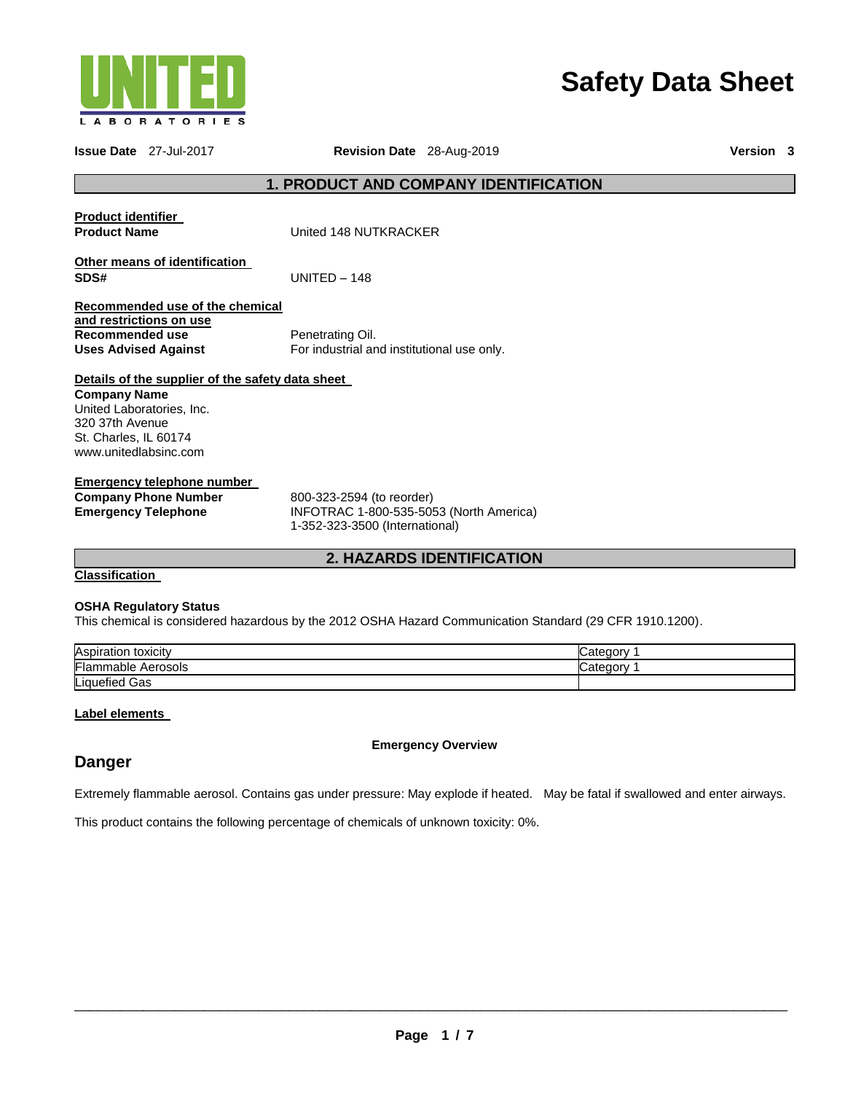

# **Safety Data Sheet**

|                                                                                                                       | <b>Issue Date</b> 27-Jul-2017                                    | Revision Date 28-Aug-2019                                                                              |                                                                                                          |            | Version 3 |  |
|-----------------------------------------------------------------------------------------------------------------------|------------------------------------------------------------------|--------------------------------------------------------------------------------------------------------|----------------------------------------------------------------------------------------------------------|------------|-----------|--|
|                                                                                                                       |                                                                  |                                                                                                        | <b>1. PRODUCT AND COMPANY IDENTIFICATION</b>                                                             |            |           |  |
| <b>Product identifier</b><br><b>Product Name</b>                                                                      |                                                                  | United 148 NUTKRACKER                                                                                  |                                                                                                          |            |           |  |
| SDS#                                                                                                                  | Other means of identification                                    | $UNIFED - 148$                                                                                         |                                                                                                          |            |           |  |
| and restrictions on use<br><b>Recommended use</b><br><b>Uses Advised Against</b>                                      | Recommended use of the chemical                                  | Penetrating Oil.<br>For industrial and institutional use only.                                         |                                                                                                          |            |           |  |
| <b>Company Name</b><br>United Laboratories, Inc.<br>320 37th Avenue<br>St. Charles, IL 60174<br>www.unitedlabsinc.com | Details of the supplier of the safety data sheet                 |                                                                                                        |                                                                                                          |            |           |  |
| <b>Emergency Telephone</b>                                                                                            | <b>Emergency telephone number</b><br><b>Company Phone Number</b> | 800-323-2594 (to reorder)<br>INFOTRAC 1-800-535-5053 (North America)<br>1-352-323-3500 (International) |                                                                                                          |            |           |  |
|                                                                                                                       |                                                                  |                                                                                                        | <b>2. HAZARDS IDENTIFICATION</b>                                                                         |            |           |  |
| <b>Classification</b>                                                                                                 |                                                                  |                                                                                                        |                                                                                                          |            |           |  |
|                                                                                                                       | <b>OSHA Regulatory Status</b>                                    |                                                                                                        | This chemical is considered hazardous by the 2012 OSHA Hazard Communication Standard (29 CFR 1910.1200). |            |           |  |
| Aspiration toxicity                                                                                                   |                                                                  |                                                                                                        |                                                                                                          | Category 1 |           |  |
| <b>Flammable Aerosols</b><br>iquefied Gas                                                                             |                                                                  |                                                                                                        |                                                                                                          | Category 1 |           |  |
|                                                                                                                       |                                                                  |                                                                                                        |                                                                                                          |            |           |  |
|                                                                                                                       | Label elements                                                   |                                                                                                        |                                                                                                          |            |           |  |
|                                                                                                                       | <b>Emergency Overview</b>                                        |                                                                                                        |                                                                                                          |            |           |  |

## **Danger**

Extremely flammable aerosol. Contains gas under pressure: May explode if heated. May be fatal if swallowed and enter airways.

This product contains the following percentage of chemicals of unknown toxicity: 0%.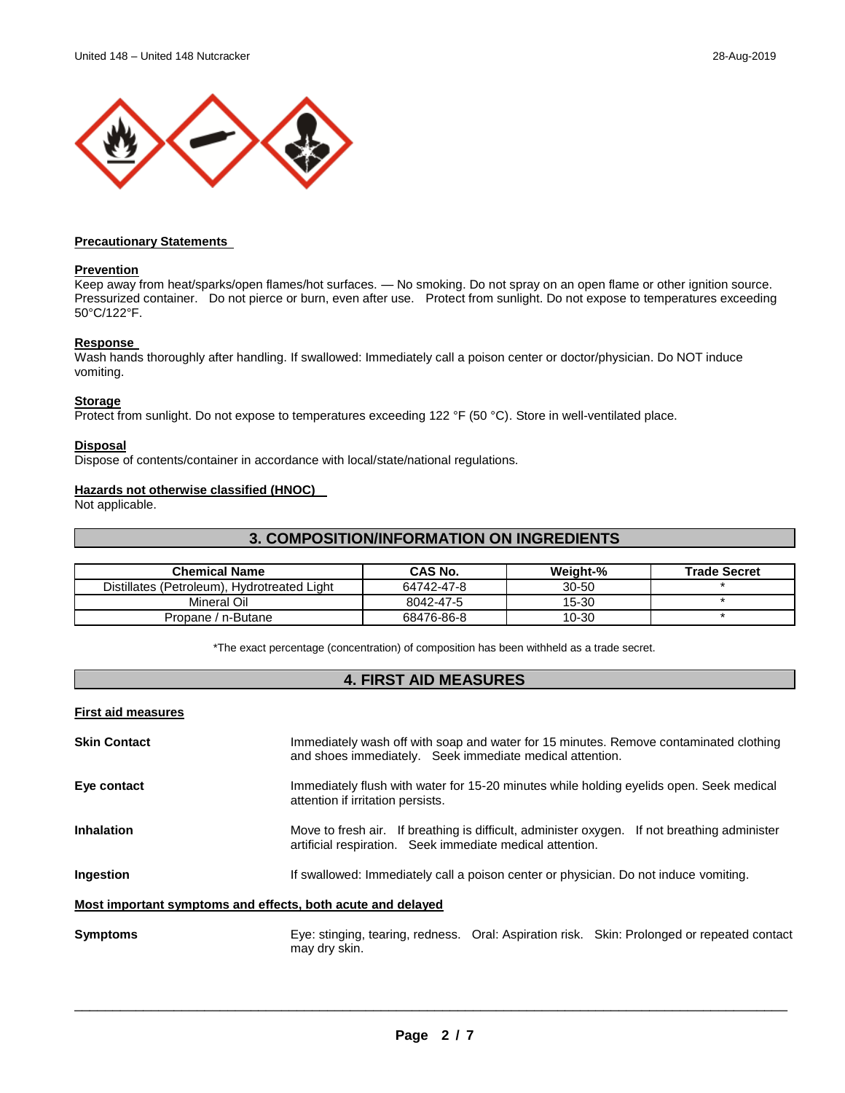

#### **Precautionary Statements**

#### **Prevention**

Keep away from heat/sparks/open flames/hot surfaces. — No smoking. Do not spray on an open flame or other ignition source. Pressurized container. Do not pierce or burn, even after use. Protect from sunlight. Do not expose to temperatures exceeding 50°C/122°F.

#### **Response**

Wash hands thoroughly after handling. If swallowed: Immediately call a poison center or doctor/physician. Do NOT induce vomiting.

#### **Storage**

Protect from sunlight. Do not expose to temperatures exceeding 122 °F (50 °C). Store in well-ventilated place.

#### **Disposal**

Dispose of contents/container in accordance with local/state/national regulations.

#### **Hazards not otherwise classified (HNOC)**

Not applicable.

#### **3. COMPOSITION/INFORMATION ON INGREDIENTS**

| <b>Chemical Name</b>                        | <b>CAS No.</b> | Weight-%  | <b>Trade Secret</b> |
|---------------------------------------------|----------------|-----------|---------------------|
| Distillates (Petroleum), Hydrotreated Light | 64742-47-8     | $30 - 50$ |                     |
| Mineral Oil                                 | 8042-47-5      | 15-30     |                     |
| Propane / n-Butane                          | 68476-86-8     | 10-30     |                     |

\*The exact percentage (concentration) of composition has been withheld as a trade secret.

#### **4. FIRST AID MEASURES**

#### **First aid measures**

**Skin Contact Immediately wash off with soap and water for 15 minutes. Remove contaminated clothing** and shoes immediately. Seek immediate medical attention. **Eye contact Immediately flush with water for 15-20 minutes while holding eyelids open. Seek medical seemedical** attention if irritation persists. **Inhalation** Move to fresh air. If breathing is difficult, administer oxygen. If not breathing administer artificial respiration. Seek immediate medical attention. **Ingestion If** swallowed: Immediately call a poison center or physician. Do not induce vomiting. **Most important symptoms and effects, both acute and delayed Symptoms** Eye: stinging, tearing, redness. Oral: Aspiration risk. Skin: Prolonged or repeated contact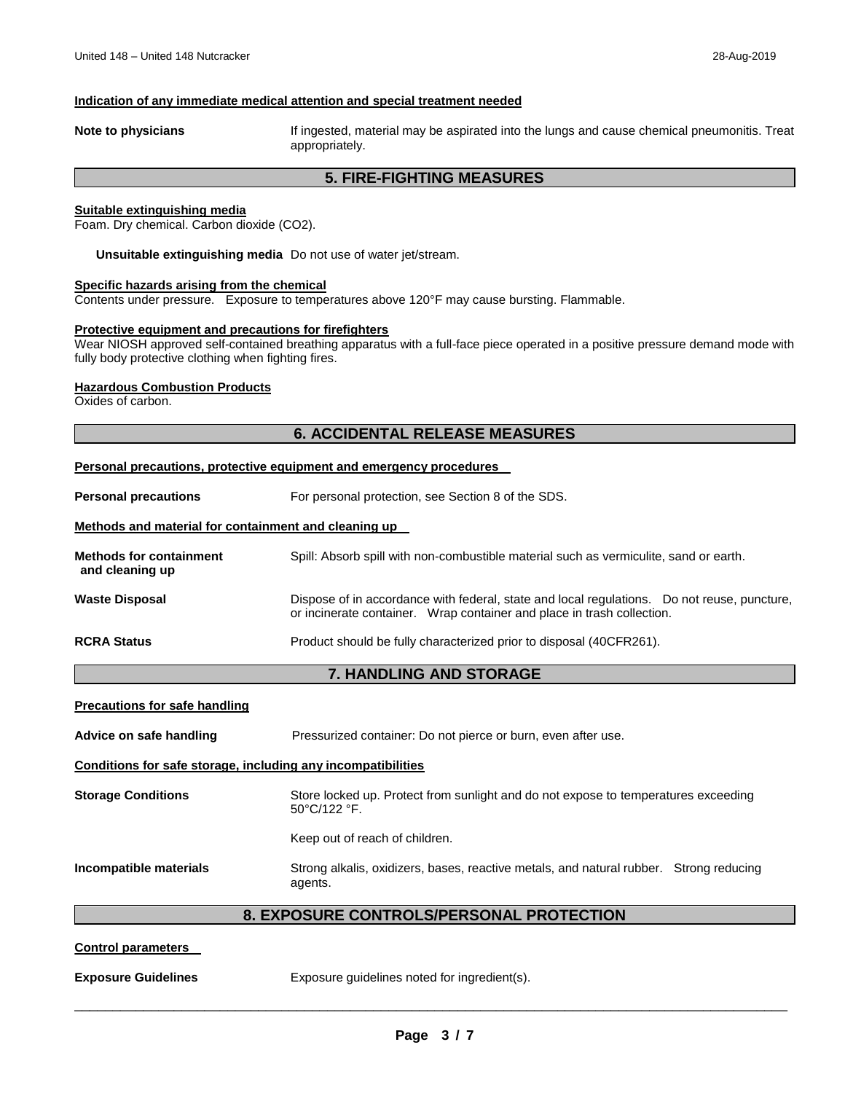#### **Indication of any immediate medical attention and special treatment needed**

**Note to physicians** If ingested, material may be aspirated into the lungs and cause chemical pneumonitis. Treat appropriately.

#### **5. FIRE-FIGHTING MEASURES**

#### **Suitable extinguishing media**

Foam. Dry chemical. Carbon dioxide (CO2).

**Unsuitable extinguishing media** Do not use of water jet/stream.

#### **Specific hazards arising from the chemical**

Contents under pressure. Exposure to temperatures above 120°F may cause bursting. Flammable.

#### **Protective equipment and precautions for firefighters**

Wear NIOSH approved self-contained breathing apparatus with a full-face piece operated in a positive pressure demand mode with fully body protective clothing when fighting fires.

#### **Hazardous Combustion Products**

Oxides of carbon.

### **6. ACCIDENTAL RELEASE MEASURES**

#### **Personal precautions, protective equipment and emergency procedures**

**Personal precautions For personal protection, see Section 8 of the SDS.** 

#### **Methods and material for containment and cleaning up**

| <b>Methods for containment</b><br>and cleaning up                                                                                                                                              | Spill: Absorb spill with non-combustible material such as vermiculite, sand or earth. |  |
|------------------------------------------------------------------------------------------------------------------------------------------------------------------------------------------------|---------------------------------------------------------------------------------------|--|
| Dispose of in accordance with federal, state and local regulations. Do not reuse, puncture,<br><b>Waste Disposal</b><br>or incinerate container. Wrap container and place in trash collection. |                                                                                       |  |
| <b>RCRA Status</b>                                                                                                                                                                             | Product should be fully characterized prior to disposal (40CFR261).                   |  |

#### **7. HANDLING AND STORAGE**

| <b>Precautions for safe handling</b>                         |                                                                                                                        |  |  |  |  |
|--------------------------------------------------------------|------------------------------------------------------------------------------------------------------------------------|--|--|--|--|
| Advice on safe handling                                      | Pressurized container: Do not pierce or burn, even after use.                                                          |  |  |  |  |
| Conditions for safe storage, including any incompatibilities |                                                                                                                        |  |  |  |  |
| <b>Storage Conditions</b>                                    | Store locked up. Protect from sunlight and do not expose to temperatures exceeding<br>$50^{\circ}$ C/122 $^{\circ}$ F. |  |  |  |  |
|                                                              | Keep out of reach of children.                                                                                         |  |  |  |  |
| Incompatible materials                                       | Strong alkalis, oxidizers, bases, reactive metals, and natural rubber. Strong reducing<br>agents.                      |  |  |  |  |
| <b>8. EXPOSURE CONTROLS/PERSONAL PROTECTION</b>              |                                                                                                                        |  |  |  |  |

#### **Control parameters**

**Exposure Guidelines Exposure guidelines noted for ingredient(s).**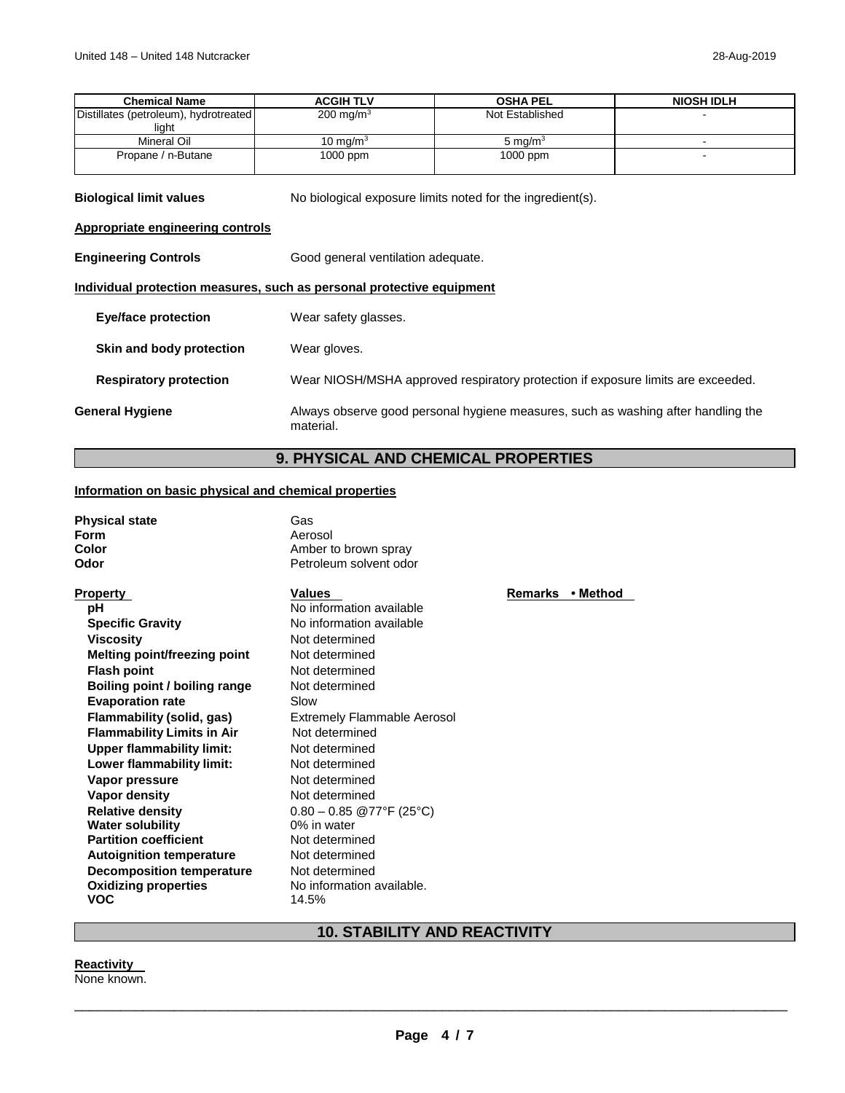| <b>Chemical Name</b>                                                  | <b>ACGIH TLV</b>                                                                 | <b>OSHA PEL</b>                                                                   | <b>NIOSH IDLH</b> |  |
|-----------------------------------------------------------------------|----------------------------------------------------------------------------------|-----------------------------------------------------------------------------------|-------------------|--|
| Distillates (petroleum), hydrotreated<br>light                        | 200 mg/m <sup>3</sup>                                                            | Not Established                                                                   |                   |  |
| Mineral Oil                                                           | 10 mg/m $3$                                                                      | 5 mg/ $m3$                                                                        |                   |  |
| Propane / n-Butane                                                    | 1000 ppm                                                                         | 1000 ppm                                                                          |                   |  |
| <b>Biological limit values</b>                                        |                                                                                  | No biological exposure limits noted for the ingredient(s).                        |                   |  |
| Appropriate engineering controls                                      |                                                                                  |                                                                                   |                   |  |
| <b>Engineering Controls</b>                                           | Good general ventilation adequate.                                               |                                                                                   |                   |  |
| Individual protection measures, such as personal protective equipment |                                                                                  |                                                                                   |                   |  |
| <b>Eye/face protection</b>                                            | Wear safety glasses.                                                             |                                                                                   |                   |  |
| Skin and body protection                                              | Wear gloves.                                                                     |                                                                                   |                   |  |
| <b>Respiratory protection</b>                                         | Wear NIOSH/MSHA approved respiratory protection if exposure limits are exceeded. |                                                                                   |                   |  |
| <b>General Hygiene</b>                                                | material.                                                                        | Always observe good personal hygiene measures, such as washing after handling the |                   |  |

### **9. PHYSICAL AND CHEMICAL PROPERTIES**

### **Information on basic physical and chemical properties**

| <b>Physical state</b> | Gas                    |
|-----------------------|------------------------|
| Form                  | Aerosol                |
| Color                 | Amber to brown spray   |
| Odor                  | Petroleum solvent odor |
|                       |                        |

| <b>Property</b>                   | <b>Values</b>                      | Remarks | • Method |
|-----------------------------------|------------------------------------|---------|----------|
| рH                                | No information available           |         |          |
| <b>Specific Gravity</b>           | No information available           |         |          |
| <b>Viscosity</b>                  | Not determined                     |         |          |
| Melting point/freezing point      | Not determined                     |         |          |
| <b>Flash point</b>                | Not determined                     |         |          |
| Boiling point / boiling range     | Not determined                     |         |          |
| <b>Evaporation rate</b>           | Slow                               |         |          |
| Flammability (solid, gas)         | <b>Extremely Flammable Aerosol</b> |         |          |
| <b>Flammability Limits in Air</b> | Not determined                     |         |          |
| Upper flammability limit:         | Not determined                     |         |          |
| Lower flammability limit:         | Not determined                     |         |          |
| Vapor pressure                    | Not determined                     |         |          |
| Vapor density                     | Not determined                     |         |          |
| <b>Relative density</b>           | $0.80 - 0.85$ @77°F (25°C)         |         |          |
| <b>Water solubility</b>           | 0% in water                        |         |          |
| <b>Partition coefficient</b>      | Not determined                     |         |          |
| <b>Autoignition temperature</b>   | Not determined                     |         |          |
| <b>Decomposition temperature</b>  | Not determined                     |         |          |
| <b>Oxidizing properties</b>       | No information available.          |         |          |
| <b>VOC</b>                        | 14.5%                              |         |          |

### **10. STABILITY AND REACTIVITY**

#### **Reactivity**

None known.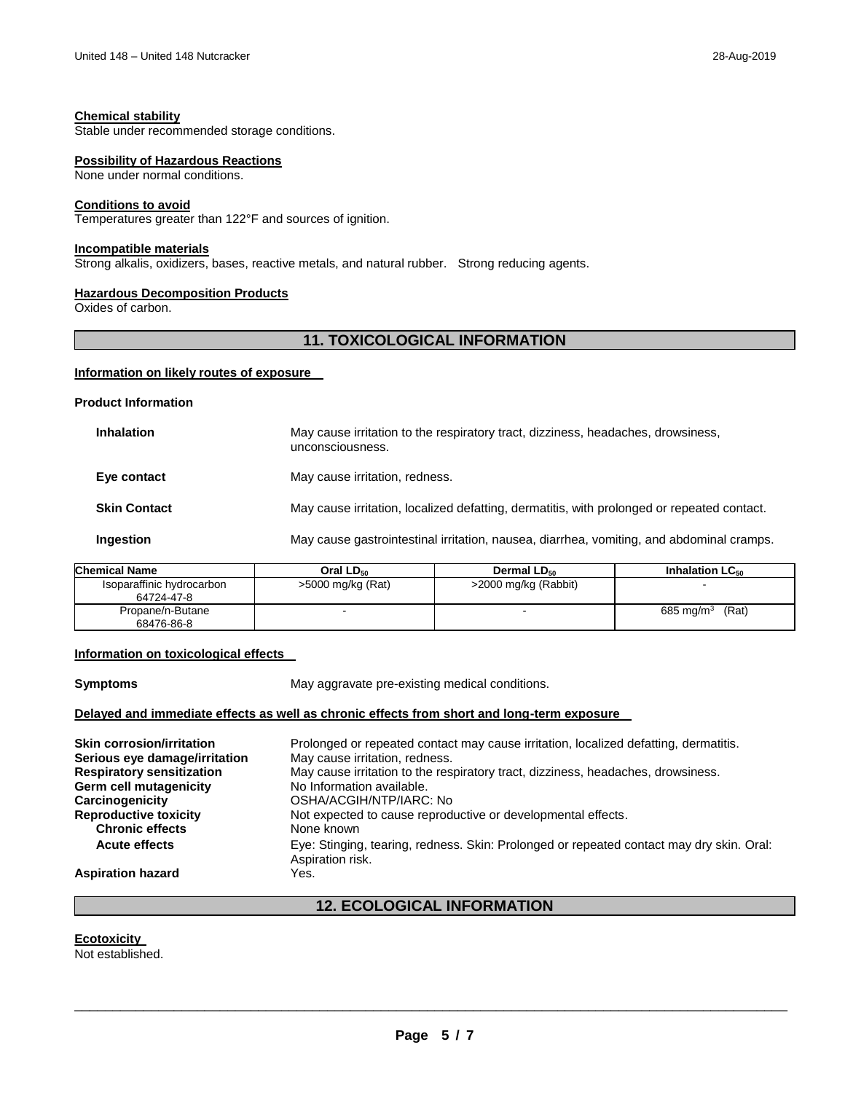Stable under recommended storage conditions.

#### **Possibility of Hazardous Reactions**

None under normal conditions.

#### **Conditions to avoid**

Temperatures greater than 122°F and sources of ignition.

#### **Incompatible materials**

Strong alkalis, oxidizers, bases, reactive metals, and natural rubber. Strong reducing agents.

#### **Hazardous Decomposition Products**

Oxides of carbon.

#### **11. TOXICOLOGICAL INFORMATION**

#### **Information on likely routes of exposure**

#### **Product Information**

| <b>Inhalation</b>   | May cause irritation to the respiratory tract, dizziness, headaches, drowsiness,<br>unconsciousness. |
|---------------------|------------------------------------------------------------------------------------------------------|
| Eye contact         | May cause irritation, redness.                                                                       |
| <b>Skin Contact</b> | May cause irritation, localized defatting, dermatitis, with prolonged or repeated contact.           |
| Ingestion           | May cause gastrointestinal irritation, nausea, diarrhea, vomiting, and abdominal cramps.             |

| Chemical Name             | Oral LD <sub>50</sub> | Dermal LD <sub>50</sub> | Inhalation LC <sub>50</sub> |
|---------------------------|-----------------------|-------------------------|-----------------------------|
| Isoparaffinic hydrocarbon | $>5000$ mg/kg (Rat)   | >2000 mg/kg (Rabbit)    |                             |
| 64724-47-8                |                       |                         |                             |
| Propane/n-Butane          |                       |                         | (Rat)<br>685 mg/m $3$       |
| 68476-86-8                |                       |                         |                             |

#### **Information on toxicological effects**

**Symptoms May aggravate pre-existing medical conditions.** 

#### **Delayed and immediate effects as well as chronic effects from short and long-term exposure**

**Skin corrosion/irritation Serious eye damage/irritation** Prolonged or repeated contact may cause irritation, localized defatting, dermatitis. May cause irritation, redness. **Respiratory sensitization Germ cell mutagenicity**  May cause irritation to the respiratory tract, dizziness, headaches, drowsiness. No Information available. **Carcinogenicity** OSHA/ACGIH/NTP/IARC: No Not expected to cause reproductive or developmental effects.<br>None known **Chronic effects Acute effects** Eye: Stinging, tearing, redness. Skin: Prolonged or repeated contact may dry skin. Oral: Aspiration risk. **Aspiration hazard** Yes.

### **12. ECOLOGICAL INFORMATION**

#### **Ecotoxicity**

Not established.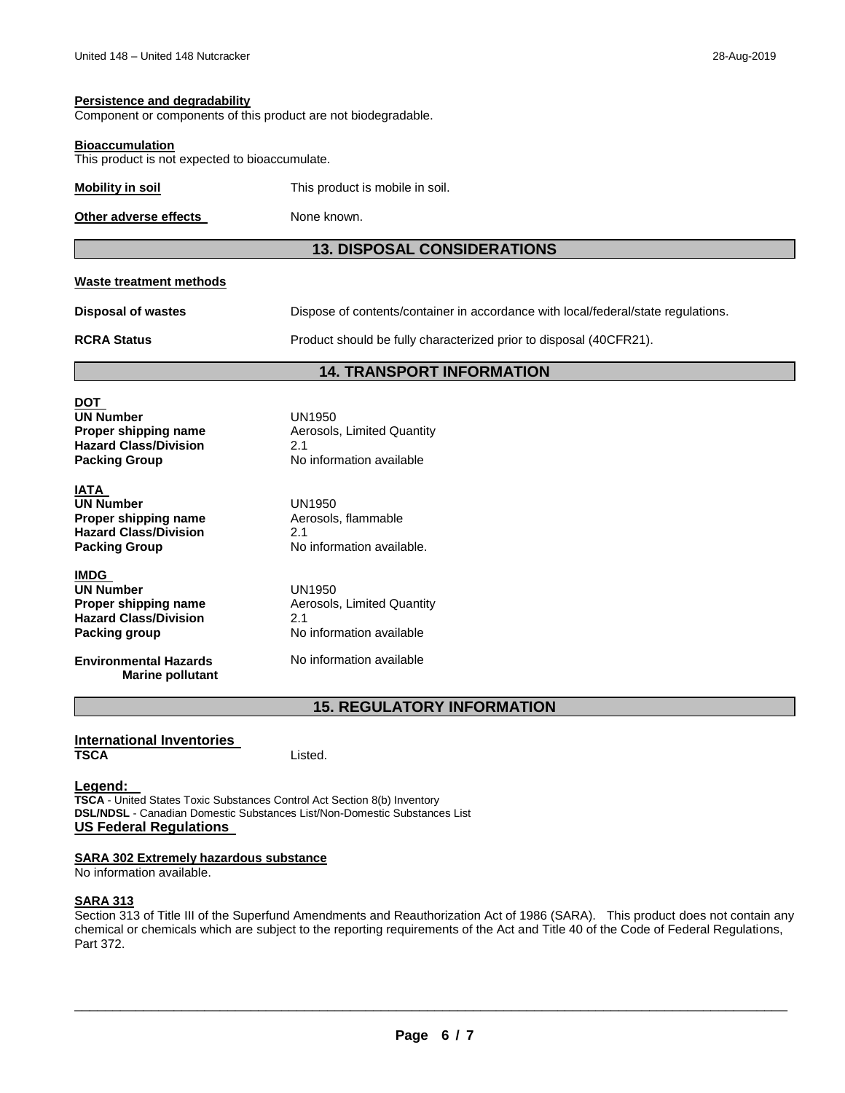#### **Persistence and degradability**

Component or components of this product are not biodegradable.

#### **Bioaccumulation**

This product is not expected to bioaccumulate.

| Mobility in soil | This product is mobile in soil. |
|------------------|---------------------------------|
|                  |                                 |

**Other adverse effects**  None known.

#### **13. DISPOSAL CONSIDERATIONS**

#### **Waste treatment methods**

**Disposal of wastes RCRA Status** Dispose of contents/container in accordance with local/federal/state regulations. Product should be fully characterized prior to disposal (40CFR21).

#### **14. TRANSPORT INFORMATION**

### **DOT UN Number** UN1950 **Hazard Class/Division Packing Group**

**IATA UN Number Proper shipping name Hazard Class/Division Packing Group**

**IMDG UN Number Proper shipping name Hazard Class/Division Packing group**

**Environmental Hazards Marine pollutant** **Aerosols, Limited Quantity** 2.1 No information available

No information available. UN1950 Aerosols, flammable 2.1

Aerosols, Limited Quantity<br>2.1 UN1950 No information available

No information available

### **15. REGULATORY INFORMATION**

# **International Inventories**

Listed.

#### **Legend:**

**TSCA** - United States Toxic Substances Control Act Section 8(b) Inventory **DSL/NDSL** - Canadian Domestic Substances List/Non-Domestic Substances List **US Federal Regulations** 

#### **SARA 302 Extremely hazardous substance**

No information available.

#### **SARA 313**

Section 313 of Title III of the Superfund Amendments and Reauthorization Act of 1986 (SARA). This product does not contain any chemical or chemicals which are subject to the reporting requirements of the Act and Title 40 of the Code of Federal Regulations, Part 372.